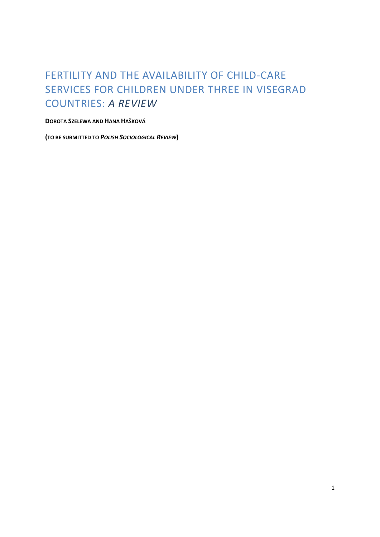# FERTILITY AND THE AVAILABILITY OF CHILD-CARE SERVICES FOR CHILDREN UNDER THREE IN VISEGRAD COUNTRIES: *A REVIEW*

## **DOROTA SZELEWA AND HANA HAŠKOVÁ**

**(TO BE SUBMITTED TO** *POLISH SOCIOLOGICAL REVIEW***)**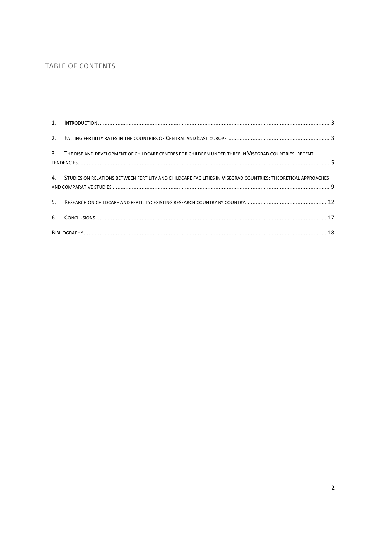## TABLE OF CONTENTS

| 3. THE RISE AND DEVELOPMENT OF CHILDCARE CENTRES FOR CHILDREN UNDER THREE IN VISEGRAD COUNTRIES: RECENT          |  |
|------------------------------------------------------------------------------------------------------------------|--|
| 4. STUDIES ON RELATIONS BETWEEN FERTILITY AND CHILDCARE FACILITIES IN VISEGRAD COUNTRIES: THEORETICAL APPROACHES |  |
|                                                                                                                  |  |
|                                                                                                                  |  |
|                                                                                                                  |  |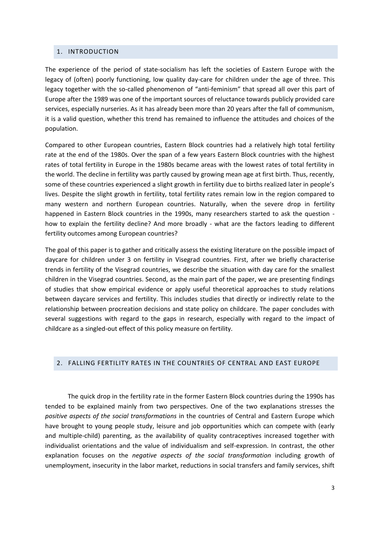### <span id="page-2-0"></span>1. INTRODUCTION

The experience of the period of state-socialism has left the societies of Eastern Europe with the legacy of (often) poorly functioning, low quality day-care for children under the age of three. This legacy together with the so-called phenomenon of "anti-feminism" that spread all over this part of Europe after the 1989 was one of the important sources of reluctance towards publicly provided care services, especially nurseries. As it has already been more than 20 years after the fall of communism, it is a valid question, whether this trend has remained to influence the attitudes and choices of the population.

Compared to other European countries, Eastern Block countries had a relatively high total fertility rate at the end of the 1980s. Over the span of a few years Eastern Block countries with the highest rates of total fertility in Europe in the 1980s became areas with the lowest rates of total fertility in the world. The decline in fertility was partly caused by growing mean age at first birth. Thus, recently, some of these countries experienced a slight growth in fertility due to births realized later in people's lives. Despite the slight growth in fertility, total fertility rates remain low in the region compared to many western and northern European countries. Naturally, when the severe drop in fertility happened in Eastern Block countries in the 1990s, many researchers started to ask the question how to explain the fertility decline? And more broadly - what are the factors leading to different fertility outcomes among European countries?

The goal of this paper is to gather and critically assess the existing literature on the possible impact of daycare for children under 3 on fertility in Visegrad countries. First, after we briefly characterise trends in fertility of the Visegrad countries, we describe the situation with day care for the smallest children in the Visegrad countries. Second, as the main part of the paper, we are presenting findings of studies that show empirical evidence or apply useful theoretical approaches to study relations between daycare services and fertility. This includes studies that directly or indirectly relate to the relationship between procreation decisions and state policy on childcare. The paper concludes with several suggestions with regard to the gaps in research, especially with regard to the impact of childcare as a singled-out effect of this policy measure on fertility.

### <span id="page-2-1"></span>2. FALLING FERTILITY RATES IN THE COUNTRIES OF CENTRAL AND EAST EUROPE

The quick drop in the fertility rate in the former Eastern Block countries during the 1990s has tended to be explained mainly from two perspectives. One of the two explanations stresses the *positive aspects of the social transformations* in the countries of Central and Eastern Europe which have brought to young people study, leisure and job opportunities which can compete with (early and multiple-child) parenting, as the availability of quality contraceptives increased together with individualist orientations and the value of individualism and self-expression. In contrast, the other explanation focuses on the *negative aspects of the social transformation* including growth of unemployment, insecurity in the labor market, reductions in social transfers and family services, shift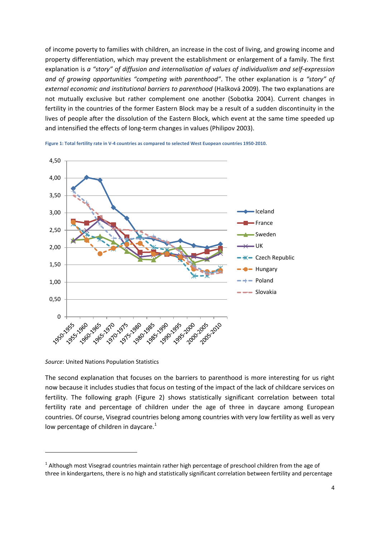of income poverty to families with children, an increase in the cost of living, and growing income and property differentiation, which may prevent the establishment or enlargement of a family. The first explanation is *a "story" of diffusion and internalisation of values of individualism and self-expression and of growing opportunities "competing with parenthood"*. The other explanation is *a "story" of external economic and institutional barriers to parenthood* (Hašková 2009). The two explanations are not mutually exclusive but rather complement one another (Sobotka 2004). Current changes in fertility in the countries of the former Eastern Block may be a result of a sudden discontinuity in the lives of people after the dissolution of the Eastern Block, which event at the same time speeded up and intensified the effects of long-term changes in values (Philipov 2003).



**Figure 1: Total fertility rate in V-4 countries as compared to selected West Euopean countries 1950-2010.**

*Source*: United Nations Population Statistics

**.** 

The second explanation that focuses on the barriers to parenthood is more interesting for us right now because it includes studies that focus on testing of the impact of the lack of childcare services on fertility. The following graph (Figure 2) shows statistically significant correlation between total fertility rate and percentage of children under the age of three in daycare among European countries. Of course, Visegrad countries belong among countries with very low fertility as well as very low percentage of children in daycare.<sup>1</sup>

 $1$  Although most Visegrad countries maintain rather high percentage of preschool children from the age of three in kindergartens, there is no high and statistically significant correlation between fertility and percentage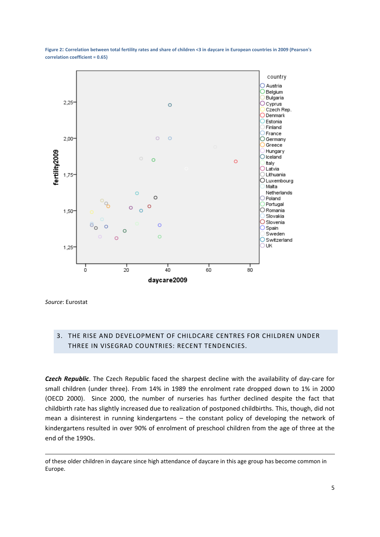

**Figure 2: Correlation between total fertility rates and share of children <3 in daycare in European countries in 2009 (Pearson's correlation coefficient = 0.65)**

*Source*: Eurostat

1

## <span id="page-4-0"></span>3. THE RISE AND DEVELOPMENT OF CHILDCARE CENTRES FOR CHILDREN UNDER THREE IN VISEGRAD COUNTRIES: RECENT TENDENCIES.

*Czech Republic*. The Czech Republic faced the sharpest decline with the availability of day-care for small children (under three). From 14% in 1989 the enrolment rate dropped down to 1% in 2000 (OECD 2000). Since 2000, the number of nurseries has further declined despite the fact that childbirth rate has slightly increased due to realization of postponed childbirths. This, though, did not mean a disinterest in running kindergartens – the constant policy of developing the network of kindergartens resulted in over 90% of enrolment of preschool children from the age of three at the end of the 1990s.

of these older children in daycare since high attendance of daycare in this age group has become common in Europe.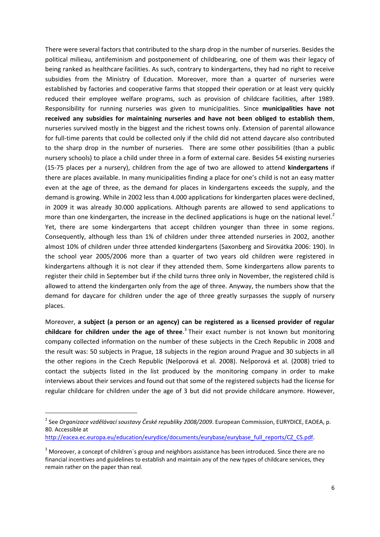There were several factors that contributed to the sharp drop in the number of nurseries. Besides the political milieau, antifeminism and postponement of childbearing, one of them was their legacy of being ranked as healthcare facilities. As such, contrary to kindergartens, they had no right to receive subsidies from the Ministry of Education. Moreover, more than a quarter of nurseries were established by factories and cooperative farms that stopped their operation or at least very quickly reduced their employee welfare programs, such as provision of childcare facilities, after 1989. Responsibility for running nurseries was given to municipalities. Since **municipalities have not received any subsidies for maintaining nurseries and have not been obliged to establish them**, nurseries survived mostly in the biggest and the richest towns only. Extension of parental allowance for full-time parents that could be collected only if the child did not attend daycare also contributed to the sharp drop in the number of nurseries. There are some other possibilities (than a public nursery schools) to place a child under three in a form of external care. Besides 54 existing nurseries (15-75 places per a nursery), children from the age of two are allowed to attend **kindergartens** if there are places available. In many municipalities finding a place for one's child is not an easy matter even at the age of three, as the demand for places in kindergartens exceeds the supply, and the demand is growing. While in 2002 less than 4.000 applications for kindergarten places were declined, in 2009 it was already 30.000 applications. Although parents are allowed to send applications to more than one kindergarten, the increase in the declined applications is huge on the national level.<sup>2</sup> Yet, there are some kindergartens that accept children younger than three in some regions. Consequently, although less than 1% of children under three attended nurseries in 2002, another almost 10% of children under three attended kindergartens (Saxonberg and Sirovátka 2006: 190). In the school year 2005/2006 more than a quarter of two years old children were registered in kindergartens although it is not clear if they attended them. Some kindergartens allow parents to register their child in September but if the child turns three only in November, the registered child is allowed to attend the kindergarten only from the age of three. Anyway, the numbers show that the demand for daycare for children under the age of three greatly surpasses the supply of nursery places.

Moreover, **a subject (a person or an agency) can be registered as a licensed provider of regular childcare for children under the age of three**. 3 Their exact number is not known but monitoring company collected information on the number of these subjects in the Czech Republic in 2008 and the result was: 50 subjects in Prague, 18 subjects in the region around Prague and 30 subjects in all the other regions in the Czech Republic (Nešporová et al. 2008). Nešporová et al. (2008) tried to contact the subjects listed in the list produced by the monitoring company in order to make interviews about their services and found out that some of the registered subjects had the license for regular childcare for children under the age of 3 but did not provide childcare anymore. However,

1

<sup>2</sup> See *Organizace vzdělávací soustavy České republiky 2008/2009*. European Commission, EURYDICE, EAOEA, p. 80. Accessible at

[http://eacea.ec.europa.eu/education/eurydice/documents/eurybase/eurybase\\_full\\_reports/CZ\\_CS.pdf.](http://eacea.ec.europa.eu/education/eurydice/documents/eurybase/eurybase_full_reports/CZ_CS.pdf)

<sup>&</sup>lt;sup>3</sup> Moreover, a concept of children's group and neighbors assistance has been introduced. Since there are no financial incentives and guidelines to establish and maintain any of the new types of childcare services, they remain rather on the paper than real.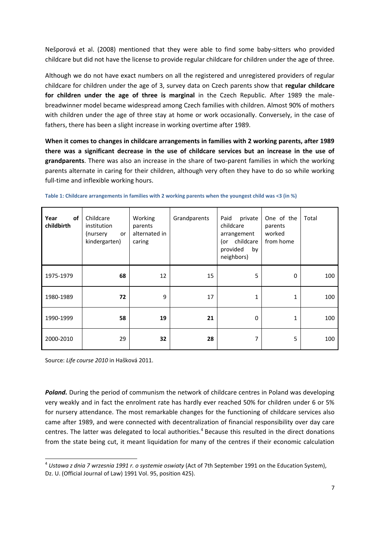Nešporová et al. (2008) mentioned that they were able to find some baby-sitters who provided childcare but did not have the license to provide regular childcare for children under the age of three.

Although we do not have exact numbers on all the registered and unregistered providers of regular childcare for children under the age of 3, survey data on Czech parents show that **regular childcare for children under the age of three is marginal** in the Czech Republic. After 1989 the malebreadwinner model became widespread among Czech families with children. Almost 90% of mothers with children under the age of three stay at home or work occasionally. Conversely, in the case of fathers, there has been a slight increase in working overtime after 1989.

**When it comes to changes in childcare arrangements in families with 2 working parents, after 1989 there was a significant decrease in the use of childcare services but an increase in the use of grandparents**. There was also an increase in the share of two-parent families in which the working parents alternate in caring for their children, although very often they have to do so while working full-time and inflexible working hours.

| of<br>Year<br>childbirth | Childcare<br>institution<br>(nursery<br>or<br>kindergarten) | Working<br>parents<br>alternated in<br>caring | Grandparents | private<br>Paid<br>childcare<br>arrangement<br>(or childcare<br>provided<br>by<br>neighbors) | One of the<br>parents<br>worked<br>from home | Total |
|--------------------------|-------------------------------------------------------------|-----------------------------------------------|--------------|----------------------------------------------------------------------------------------------|----------------------------------------------|-------|
| 1975-1979                | 68                                                          | 12                                            | 15           | 5                                                                                            | 0                                            | 100   |
| 1980-1989                | 72                                                          | 9                                             | 17           | 1                                                                                            | 1                                            | 100   |
| 1990-1999                | 58                                                          | 19                                            | 21           | 0                                                                                            | 1                                            | 100   |
| 2000-2010                | 29                                                          | 32                                            | 28           | 7                                                                                            | 5                                            | 100   |

Source: *Life course 2010* in Hašková 2011.

*Poland.* During the period of communism the network of childcare centres in Poland was developing very weakly and in fact the enrolment rate has hardly ever reached 50% for children under 6 or 5% for nursery attendance. The most remarkable changes for the functioning of childcare services also came after 1989, and were connected with decentralization of financial responsibility over day care centres. The latter was delegated to local authorities.<sup>4</sup> Because this resulted in the direct donations from the state being cut, it meant liquidation for many of the centres if their economic calculation

 4 *Ustawa z dnia 7 wrzesnia 1991 r. o systemie oswiaty* (Act of 7th September 1991 on the Education System), Dz. U. (Official Journal of Law) 1991 Vol. 95, position 425).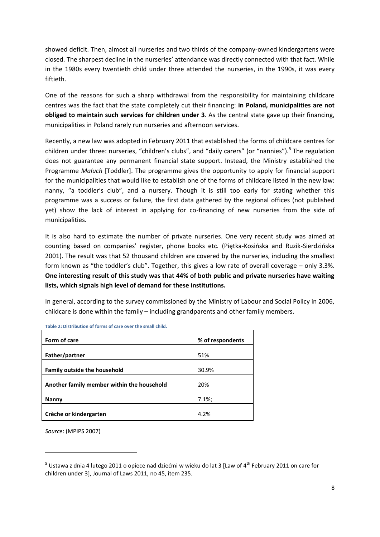showed deficit. Then, almost all nurseries and two thirds of the company-owned kindergartens were closed. The sharpest decline in the nurseries' attendance was directly connected with that fact. While in the 1980s every twentieth child under three attended the nurseries, in the 1990s, it was every fiftieth.

One of the reasons for such a sharp withdrawal from the responsibility for maintaining childcare centres was the fact that the state completely cut their financing: **in Poland, municipalities are not obliged to maintain such services for children under 3**. As the central state gave up their financing, municipalities in Poland rarely run nurseries and afternoon services.

Recently, a new law was adopted in February 2011 that established the forms of childcare centres for children under three: nurseries, "children's clubs", and "daily carers" (or "nannies").<sup>5</sup> The regulation does not guarantee any permanent financial state support. Instead, the Ministry established the Programme *Maluch* [Toddler]. The programme gives the opportunity to apply for financial support for the municipalities that would like to establish one of the forms of childcare listed in the new law: nanny, "a toddler's club", and a nursery. Though it is still too early for stating whether this programme was a success or failure, the first data gathered by the regional offices (not published yet) show the lack of interest in applying for co-financing of new nurseries from the side of municipalities.

It is also hard to estimate the number of private nurseries. One very recent study was aimed at counting based on companies' register, phone books etc. (Piętka-Kosińska and Ruzik-Sierdzińska 2001). The result was that 52 thousand children are covered by the nurseries, including the smallest form known as "the toddler's club". Together, this gives a low rate of overall coverage – only 3.3%. **One interesting result of this study was that 44% of both public and private nurseries have waiting lists, which signals high level of demand for these institutions.** 

In general, according to the survey commissioned by the Ministry of Labour and Social Policy in 2006, childcare is done within the family – including grandparents and other family members.

| Form of care                               | % of respondents |
|--------------------------------------------|------------------|
|                                            |                  |
| Father/partner                             | 51%              |
| <b>Family outside the household</b>        | 30.9%            |
| Another family member within the household | 20%              |
| <b>Nanny</b>                               | $7.1\%$          |
| Crèche or kindergarten                     | 4.2%             |

**Table 2: Distribution of forms of care over the small child.** 

*Source*: (MPIPS 2007)

**.** 

<sup>&</sup>lt;sup>5</sup> Ustawa z dnia 4 lutego 2011 o opiece nad dziećmi w wieku do lat 3 [Law of 4<sup>th</sup> February 2011 on care for children under 3], Journal of Laws 2011, no 45, item 235.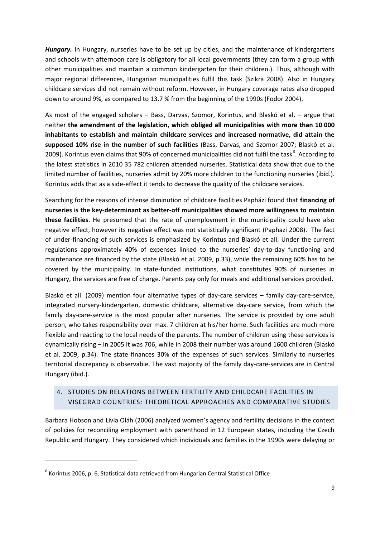*Hungary.* In Hungary, nurseries have to be set up by cities, and the maintenance of kindergartens and schools with afternoon care is obligatory for all local governments (they can form a group with other municipalities and maintain a common kindergarten for their children.). Thus, although with major regional differences, Hungarian municipalities fulfil this task (Szikra 2008). Also in Hungary childcare services did not remain without reform. However, in Hungary coverage rates also dropped down to around 9%, as compared to 13.7 % from the beginning of the 1990s (Fodor 2004).

As most of the engaged scholars – Bass, Darvas, Szomor, Korintus, and Blaskó et al. – argue that neither **the amendment of the legislation, which obliged all municipalities with more than 10 000 inhabitants to establish and maintain childcare services and increased normative, did attain the supposed 10% rise in the number of such facilities** (Bass, Darvas, and Szomor 2007; Blaskó et al. 2009). Korintus even claims that 90% of concerned municipalities did not fulfil the task<sup>6</sup>. According to the latest statistics in 2010 35 782 children attended nurseries. Statistical data show that due to the limited number of facilities, nurseries admit by 20% more children to the functioning nurseries (ibid.). Korintus adds that as a side-effect it tends to decrease the quality of the childcare services.

Searching for the reasons of intense diminution of childcare facilities Papházi found that **financing of nurseries is the key-determinant as better-off municipalities showed more willingness to maintain these facilities**. He presumed that the rate of unemployment in the municipality could have also negative effect, however its negative effect was not statistically significant (Paphazi 2008). The fact of under-financing of such services is emphasized by Korintus and Blaskó et all. Under the current regulations approximately 40% of expenses linked to the nurseries' day-to-day functioning and maintenance are financed by the state (Blaskó et al. 2009, p.33), while the remaining 60% has to be covered by the municipality. In state-funded institutions, what constitutes 90% of nurseries in Hungary, the services are free of charge. Parents pay only for meals and additional services provided.

Blaskó et all. (2009) mention four alternative types of day-care services – family day-care-service, integrated nursery-kindergarten, domestic childcare, alternative day-care service, from which the family day-care-service is the most popular after nurseries. The service is provided by one adult person, who takes responsibility over max. 7 children at his/her home. Such facilities are much more flexible and reacting to the local needs of the parents. The number of children using these services is dynamically rising – in 2005 it was 706, while in 2008 their number was around 1600 children (Blaskó et al. 2009, p.34). The state finances 30% of the expenses of such services. Similarly to nurseries territorial discrepancy is observable. The vast majority of the family day-care-services are in Central Hungary (ibid.).

## <span id="page-8-0"></span>4. STUDIES ON RELATIONS BETWEEN FERTILITY AND CHILDCARE FACILITIES IN VISEGRAD COUNTRIES: THEORETICAL APPROACHES AND COMPARATIVE STUDIES

Barbara Hobson and Livia Oláh (2006) analyzed women's agency and fertility decisions in the context of policies for reconciling employment with parenthood in 12 European states, including the Czech Republic and Hungary. They considered which individuals and families in the 1990s were delaying or

1

 $<sup>6</sup>$  Korintus 2006, p. 6, Statistical data retrieved from Hungarian Central Statistical Office</sup>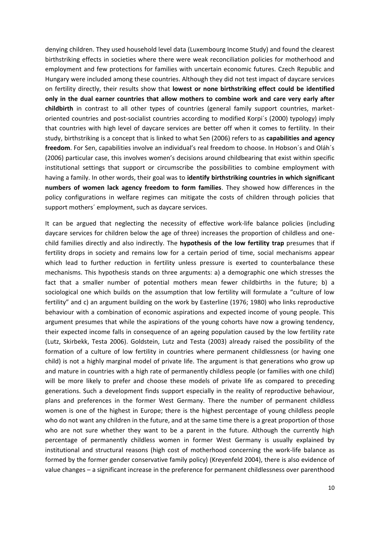denying children. They used household level data (Luxembourg Income Study) and found the clearest birthstriking effects in societies where there were weak reconciliation policies for motherhood and employment and few protections for families with uncertain economic futures. Czech Republic and Hungary were included among these countries. Although they did not test impact of daycare services on fertility directly, their results show that **lowest or none birthstriking effect could be identified only in the dual earner countries that allow mothers to combine work and care very early after childbirth** in contrast to all other types of countries (general family support countries, marketoriented countries and post-socialist countries according to modified Korpi´s (2000) typology) imply that countries with high level of daycare services are better off when it comes to fertility. In their study, birthstriking is a concept that is linked to what Sen (2006) refers to as **capabilities and agency freedom**. For Sen, capabilities involve an individual's real freedom to choose. In Hobson´s and Oláh´s (2006) particular case, this involves women's decisions around childbearing that exist within specific institutional settings that support or circumscribe the possibilities to combine employment with having a family. In other words, their goal was to **identify birthstriking countries in which significant numbers of women lack agency freedom to form families**. They showed how differences in the policy configurations in welfare regimes can mitigate the costs of children through policies that support mothers´ employment, such as daycare services.

It can be argued that neglecting the necessity of effective work-life balance policies (including daycare services for children below the age of three) increases the proportion of childless and onechild families directly and also indirectly. The **hypothesis of the low fertility trap** presumes that if fertility drops in society and remains low for a certain period of time, social mechanisms appear which lead to further reduction in fertility unless pressure is exerted to counterbalance these mechanisms. This hypothesis stands on three arguments: a) a demographic one which stresses the fact that a smaller number of potential mothers mean fewer childbirths in the future; b) a sociological one which builds on the assumption that low fertility will formulate a "culture of low fertility" and c) an argument building on the work by Easterline (1976; 1980) who links reproductive behaviour with a combination of economic aspirations and expected income of young people. This argument presumes that while the aspirations of the young cohorts have now a growing tendency, their expected income falls in consequence of an ageing population caused by the low fertility rate (Lutz, Skirbekk, Testa 2006). Goldstein, Lutz and Testa (2003) already raised the possibility of the formation of a culture of low fertility in countries where permanent childlessness (or having one child) is not a highly marginal model of private life. The argument is that generations who grow up and mature in countries with a high rate of permanently childless people (or families with one child) will be more likely to prefer and choose these models of private life as compared to preceding generations. Such a development finds support especially in the reality of reproductive behaviour, plans and preferences in the former West Germany. There the number of permanent childless women is one of the highest in Europe; there is the highest percentage of young childless people who do not want any children in the future, and at the same time there is a great proportion of those who are not sure whether they want to be a parent in the future. Although the currently high percentage of permanently childless women in former West Germany is usually explained by institutional and structural reasons (high cost of motherhood concerning the work-life balance as formed by the former gender conservative family policy) (Kreyenfeld 2004), there is also evidence of value changes – a significant increase in the preference for permanent childlessness over parenthood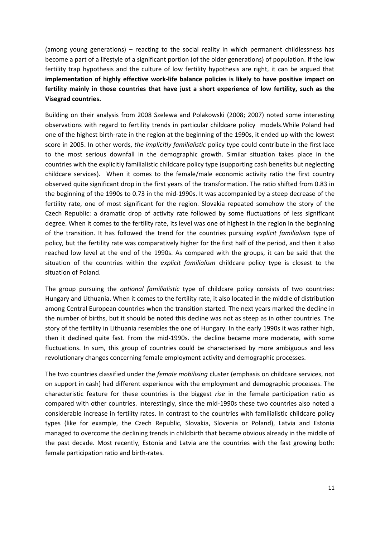(among young generations) – reacting to the social reality in which permanent childlessness has become a part of a lifestyle of a significant portion (of the older generations) of population. If the low fertility trap hypothesis and the culture of low fertility hypothesis are right, it can be argued that **implementation of highly effective work-life balance policies is likely to have positive impact on fertility mainly in those countries that have just a short experience of low fertility, such as the Visegrad countries.**

Building on their analysis from 2008 Szelewa and Polakowski (2008; 2007) noted some interesting observations with regard to fertility trends in particular childcare policy models.While Poland had one of the highest birth-rate in the region at the beginning of the 1990s, it ended up with the lowest score in 2005. In other words, *the implicitly familialistic* policy type could contribute in the first lace to the most serious downfall in the demographic growth. Similar situation takes place in the countries with the explicitly familialistic childcare policy type (supporting cash benefits but neglecting childcare services). When it comes to the female/male economic activity ratio the first country observed quite significant drop in the first years of the transformation. The ratio shifted from 0.83 in the beginning of the 1990s to 0.73 in the mid-1990s. It was accompanied by a steep decrease of the fertility rate, one of most significant for the region. Slovakia repeated somehow the story of the Czech Republic: a dramatic drop of activity rate followed by some fluctuations of less significant degree. When it comes to the fertility rate, its level was one of highest in the region in the beginning of the transition. It has followed the trend for the countries pursuing *explicit familialism* type of policy, but the fertility rate was comparatively higher for the first half of the period, and then it also reached low level at the end of the 1990s. As compared with the groups, it can be said that the situation of the countries within the *explicit familialism* childcare policy type is closest to the situation of Poland.

The group pursuing the *optional familialistic* type of childcare policy consists of two countries: Hungary and Lithuania. When it comes to the fertility rate, it also located in the middle of distribution among Central European countries when the transition started. The next years marked the decline in the number of births, but it should be noted this decline was not as steep as in other countries. The story of the fertility in Lithuania resembles the one of Hungary. In the early 1990s it was rather high, then it declined quite fast. From the mid-1990s. the decline became more moderate, with some fluctuations. In sum, this group of countries could be characterised by more ambiguous and less revolutionary changes concerning female employment activity and demographic processes.

The two countries classified under the *female mobilising* cluster (emphasis on childcare services, not on support in cash) had different experience with the employment and demographic processes. The characteristic feature for these countries is the biggest *rise* in the female participation ratio as compared with other countries. Interestingly, since the mid-1990s these two countries also noted a considerable increase in fertility rates. In contrast to the countries with familialistic childcare policy types (like for example, the Czech Republic, Slovakia, Slovenia or Poland), Latvia and Estonia managed to overcome the declining trends in childbirth that became obvious already in the middle of the past decade. Most recently, Estonia and Latvia are the countries with the fast growing both: female participation ratio and birth-rates.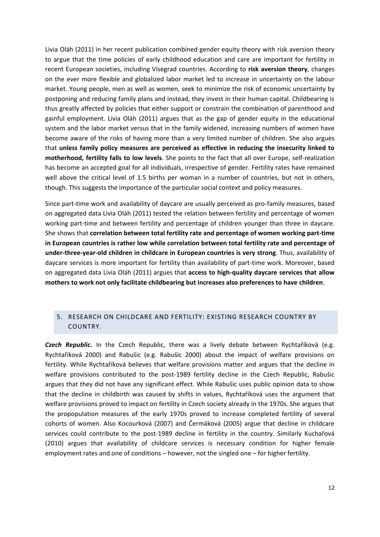Livia Oláh (2011) in her recent publication combined gender equity theory with risk aversion theory to argue that the time policies of early childhood education and care are important for fertility in recent European societies, including Visegrad countries. According to **risk aversion theory**, changes on the ever more flexible and globalized labor market led to increase in uncertainty on the labour market. Young people, men as well as women, seek to minimize the risk of economic uncertainty by postponing and reducing family plans and instead, they invest in their human capital. Childbearing is thus greatly affected by policies that either support or constrain the combination of parenthood and gainful employment. Livia Oláh (2011) argues that as the gap of gender equity in the educational system and the labor market versus that in the family widened, increasing numbers of women have become aware of the risks of having more than a very limited number of children. She also argues that **unless family policy measures are perceived as effective in reducing the insecurity linked to motherhood, fertility falls to low levels**. She points to the fact that all over Europe, self-realization has become an accepted goal for all individuals, irrespective of gender. Fertility rates have remained well above the critical level of 1.5 births per woman in a number of countries, but not in others, though. This suggests the importance of the particular social context and policy measures.

Since part-time work and availability of daycare are usually perceived as pro-family measures, based on aggregated data Livia Oláh (2011) tested the relation between fertility and percentage of women working part-time and between fertility and percentage of children younger than three in daycare. She shows that **correlation between total fertility rate and percentage of women working part-time in European countries is rather low while correlation between total fertility rate and percentage of under-three-year-old children in childcare in European countries is very strong**. Thus, availability of daycare services is more important for fertility than availability of part-time work. Moreover, based on aggregated data Livia Oláh (2011) argues that **access to high-quality daycare services that allow mothers to work not only facilitate childbearing but increases also preferences to have children**.

## <span id="page-11-0"></span>5. RESEARCH ON CHILDCARE AND FERTILITY: EXISTING RESEARCH COUNTRY BY COUNTRY.

*Czech Republic***.** In the Czech Republic, there was a lively debate between Rychtaříková (e.g. Rychtaříková 2000) and Rabušic (e.g. Rabušic 2000) about the impact of welfare provisions on fertility. While Rychtaříková believes that welfare provisions matter and argues that the decline in welfare provisions contributed to the post-1989 fertility decline in the Czech Republic, Rabušic argues that they did not have any significant effect. While Rabušic uses public opinion data to show that the decline in childbirth was caused by shifts in values, Rychtaříková uses the argument that welfare provisions proved to impact on fertility in Czech society already in the 1970s. She argues that the propopulation measures of the early 1970s proved to increase completed fertility of several cohorts of women. Also Kocourková (2007) and Čermáková (2005) argue that decline in childcare services could contribute to the post-1989 decline in fertility in the country. Similarly Kuchařová (2010) argues that availability of childcare services is necessary condition for higher female employment rates and one of conditions – however, not the singled one – for higher fertility.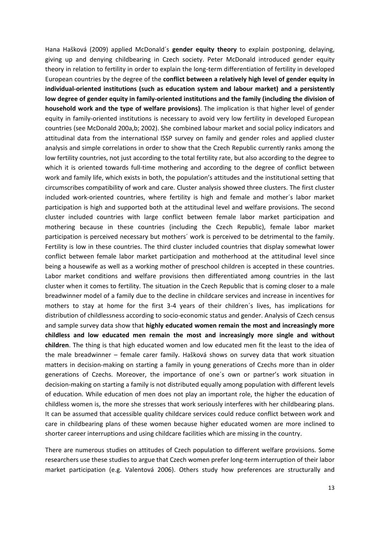Hana Hašková (2009) applied McDonald´s **gender equity theory** to explain postponing, delaying, giving up and denying childbearing in Czech society. Peter McDonald introduced gender equity theory in relation to fertility in order to explain the long-term differentiation of fertility in developed European countries by the degree of the **conflict between a relatively high level of gender equity in individual-oriented institutions (such as education system and labour market) and a persistently low degree of gender equity in family-oriented institutions and the family (including the division of household work and the type of welfare provisions)**. The implication is that higher level of gender equity in family-oriented institutions is necessary to avoid very low fertility in developed European countries (see McDonald 200a,b; 2002). She combined labour market and social policy indicators and attitudinal data from the international ISSP survey on family and gender roles and applied cluster analysis and simple correlations in order to show that the Czech Republic currently ranks among the low fertility countries, not just according to the total fertility rate, but also according to the degree to which it is oriented towards full-time mothering and according to the degree of conflict between work and family life, which exists in both, the population's attitudes and the institutional setting that circumscribes compatibility of work and care. Cluster analysis showed three clusters. The first cluster included work-oriented countries, where fertility is high and female and mother´s labor market participation is high and supported both at the attitudinal level and welfare provisions. The second cluster included countries with large conflict between female labor market participation and mothering because in these countries (including the Czech Republic), female labor market participation is perceived necessary but mothers´ work is perceived to be detrimental to the family. Fertility is low in these countries. The third cluster included countries that display somewhat lower conflict between female labor market participation and motherhood at the attitudinal level since being a housewife as well as a working mother of preschool children is accepted in these countries. Labor market conditions and welfare provisions then differentiated among countries in the last cluster when it comes to fertility. The situation in the Czech Republic that is coming closer to a male breadwinner model of a family due to the decline in childcare services and increase in incentives for mothers to stay at home for the first 3-4 years of their children´s lives, has implications for distribution of childlessness according to socio-economic status and gender. Analysis of Czech census and sample survey data show that **highly educated women remain the most and increasingly more childless and low educated men remain the most and increasingly more single and without children**. The thing is that high educated women and low educated men fit the least to the idea of the male breadwinner – female carer family. Hašková shows on survey data that work situation matters in decision-making on starting a family in young generations of Czechs more than in older generations of Czechs. Moreover, the importance of one´s own or partner's work situation in decision-making on starting a family is not distributed equally among population with different levels of education. While education of men does not play an important role, the higher the education of childless women is, the more she stresses that work seriously interferes with her childbearing plans. It can be assumed that accessible quality childcare services could reduce conflict between work and care in childbearing plans of these women because higher educated women are more inclined to shorter career interruptions and using childcare facilities which are missing in the country.

There are numerous studies on attitudes of Czech population to different welfare provisions. Some researchers use these studies to argue that Czech women prefer long-term interruption of their labor market participation (e.g. Valentová 2006). Others study how preferences are structurally and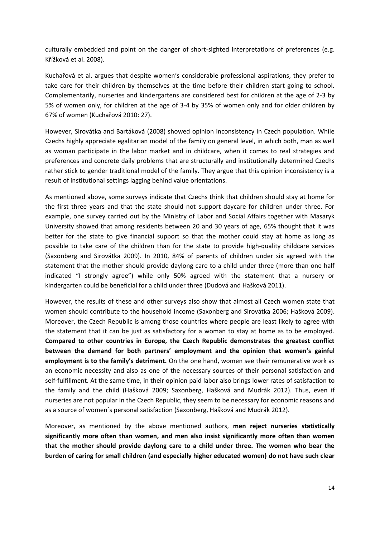culturally embedded and point on the danger of short-sighted interpretations of preferences (e.g. Křížková et al. 2008).

Kuchařová et al. argues that despite women's considerable professional aspirations, they prefer to take care for their children by themselves at the time before their children start going to school. Complementarily, nurseries and kindergartens are considered best for children at the age of 2-3 by 5% of women only, for children at the age of 3-4 by 35% of women only and for older children by 67% of women (Kuchařová 2010: 27).

However, Sirovátka and Bartáková (2008) showed opinion inconsistency in Czech population. While Czechs highly appreciate egalitarian model of the family on general level, in which both, man as well as woman participate in the labor market and in childcare, when it comes to real strategies and preferences and concrete daily problems that are structurally and institutionally determined Czechs rather stick to gender traditional model of the family. They argue that this opinion inconsistency is a result of institutional settings lagging behind value orientations.

As mentioned above, some surveys indicate that Czechs think that children should stay at home for the first three years and that the state should not support daycare for children under three. For example, one survey carried out by the Ministry of Labor and Social Affairs together with Masaryk University showed that among residents between 20 and 30 years of age, 65% thought that it was better for the state to give financial support so that the mother could stay at home as long as possible to take care of the children than for the state to provide high-quality childcare services (Saxonberg and Sirovátka 2009). In 2010, 84% of parents of children under six agreed with the statement that the mother should provide daylong care to a child under three (more than one half indicated "I strongly agree") while only 50% agreed with the statement that a nursery or kindergarten could be beneficial for a child under three (Dudová and Hašková 2011).

However, the results of these and other surveys also show that almost all Czech women state that women should contribute to the household income (Saxonberg and Sirovátka 2006; Hašková 2009). Moreover, the Czech Republic is among those countries where people are least likely to agree with the statement that it can be just as satisfactory for a woman to stay at home as to be employed. **Compared to other countries in Europe, the Czech Republic demonstrates the greatest conflict between the demand for both partners' employment and the opinion that women's gainful employment is to the family's detriment.** On the one hand, women see their remunerative work as an economic necessity and also as one of the necessary sources of their personal satisfaction and self-fulfillment. At the same time, in their opinion paid labor also brings lower rates of satisfaction to the family and the child (Hašková 2009; Saxonberg, Hašková and Mudrák 2012). Thus, even if nurseries are not popular in the Czech Republic, they seem to be necessary for economic reasons and as a source of women´s personal satisfaction (Saxonberg, Hašková and Mudrák 2012).

Moreover, as mentioned by the above mentioned authors, **men reject nurseries statistically significantly more often than women, and men also insist significantly more often than women that the mother should provide daylong care to a child under three. The women who bear the burden of caring for small children (and especially higher educated women) do not have such clear**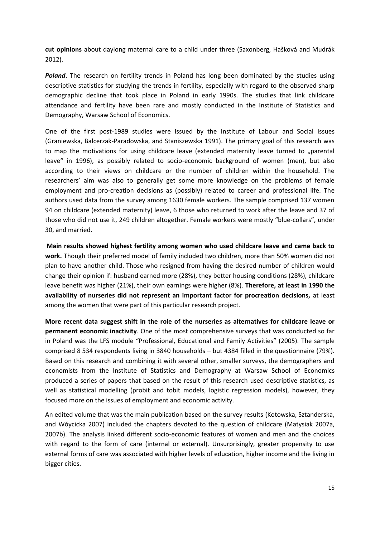**cut opinions** about daylong maternal care to a child under three (Saxonberg, Hašková and Mudrák 2012).

**Poland**. The research on fertility trends in Poland has long been dominated by the studies using descriptive statistics for studying the trends in fertility, especially with regard to the observed sharp demographic decline that took place in Poland in early 1990s. The studies that link childcare attendance and fertility have been rare and mostly conducted in the Institute of Statistics and Demography, Warsaw School of Economics.

One of the first post-1989 studies were issued by the Institute of Labour and Social Issues (Graniewska, Balcerzak-Paradowska, and Staniszewska 1991). The primary goal of this research was to map the motivations for using childcare leave (extended maternity leave turned to "parental leave" in 1996), as possibly related to socio-economic background of women (men), but also according to their views on childcare or the number of children within the household. The researchers' aim was also to generally get some more knowledge on the problems of female employment and pro-creation decisions as (possibly) related to career and professional life. The authors used data from the survey among 1630 female workers. The sample comprised 137 women 94 on childcare (extended maternity) leave, 6 those who returned to work after the leave and 37 of those who did not use it, 249 children altogether. Female workers were mostly "blue-collars", under 30, and married.

**Main results showed highest fertility among women who used childcare leave and came back to work.** Though their preferred model of family included two children, more than 50% women did not plan to have another child. Those who resigned from having the desired number of children would change their opinion if: husband earned more (28%), they better housing conditions (28%), childcare leave benefit was higher (21%), their own earnings were higher (8%). **Therefore, at least in 1990 the availability of nurseries did not represent an important factor for procreation decisions,** at least among the women that were part of this particular research project.

**More recent data suggest shift in the role of the nurseries as alternatives for childcare leave or permanent economic inactivity**. One of the most comprehensive surveys that was conducted so far in Poland was the LFS module "Professional, Educational and Family Activities" (2005). The sample comprised 8 534 respondents living in 3840 households – but 4384 filled in the questionnaire (79%). Based on this research and combining it with several other, smaller surveys, the demographers and economists from the Institute of Statistics and Demography at Warsaw School of Economics produced a series of papers that based on the result of this research used descriptive statistics, as well as statistical modelling (probit and tobit models, logistic regression models), however, they focused more on the issues of employment and economic activity.

An edited volume that was the main publication based on the survey results (Kotowska, Sztanderska, and Wóycicka 2007) included the chapters devoted to the question of childcare (Matysiak 2007a, 2007b). The analysis linked different socio-economic features of women and men and the choices with regard to the form of care (internal or external). Unsurprisingly, greater propensity to use external forms of care was associated with higher levels of education, higher income and the living in bigger cities.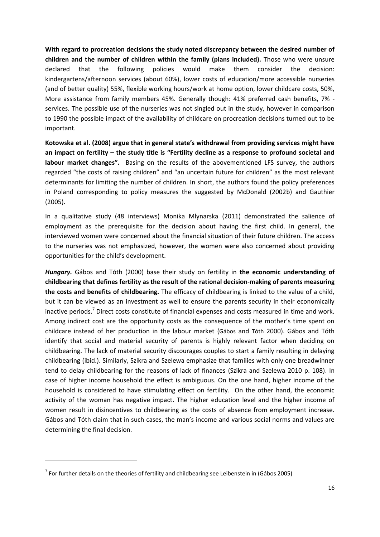**With regard to procreation decisions the study noted discrepancy between the desired number of children and the number of children within the family (plans included).** Those who were unsure declared that the following policies would make them consider the decision: kindergartens/afternoon services (about 60%), lower costs of education/more accessible nurseries (and of better quality) 55%, flexible working hours/work at home option, lower childcare costs, 50%, More assistance from family members 45%. Generally though: 41% preferred cash benefits, 7% services. The possible use of the nurseries was not singled out in the study, however in comparison to 1990 the possible impact of the availability of childcare on procreation decisions turned out to be important.

**Kotowska et al. (2008) argue that in general state's withdrawal from providing services might have an impact on fertility – the study title is "Fertility decline as a response to profound societal and labour market changes".** Basing on the results of the abovementioned LFS survey, the authors regarded "the costs of raising children" and "an uncertain future for children" as the most relevant determinants for limiting the number of children. In short, the authors found the policy preferences in Poland corresponding to policy measures the suggested by McDonald (2002b) and Gauthier (2005).

In a qualitative study (48 interviews) Monika Mlynarska (2011) demonstrated the salience of employment as the prerequisite for the decision about having the first child. In general, the interviewed women were concerned about the financial situation of their future children. The access to the nurseries was not emphasized, however, the women were also concerned about providing opportunities for the child's development.

*Hungary.* Gábos and Tóth (2000) base their study on fertility in **the economic understanding of childbearing that defines fertility as the result of the rational decision-making of parents measuring the costs and benefits of childbearing.** The efficacy of childbearing is linked to the value of a child, but it can be viewed as an investment as well to ensure the parents security in their economically inactive periods.<sup>7</sup> Direct costs constitute of financial expenses and costs measured in time and work. Among indirect cost are the opportunity costs as the consequence of the mother's time spent on childcare instead of her production in the labour market (Gábos and Tóth 2000). Gábos and Tóth identify that social and material security of parents is highly relevant factor when deciding on childbearing. The lack of material security discourages couples to start a family resulting in delaying childbearing (ibid.). Similarly, Szikra and Szelewa emphasize that families with only one breadwinner tend to delay childbearing for the reasons of lack of finances (Szikra and Szelewa 2010 p. 108). In case of higher income household the effect is ambiguous. On the one hand, higher income of the household is considered to have stimulating effect on fertility. On the other hand, the economic activity of the woman has negative impact. The higher education level and the higher income of women result in disincentives to childbearing as the costs of absence from employment increase. Gábos and Tóth claim that in such cases, the man's income and various social norms and values are determining the final decision.

1

 $<sup>7</sup>$  For further details on the theories of fertility and childbearing see Leibenstein in (Gábos 2005)</sup>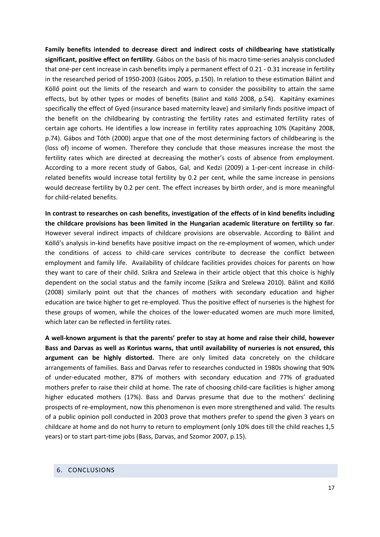**Family benefits intended to decrease direct and indirect costs of childbearing have statistically significant, positive effect on fertility**. Gábos on the basis of his macro time-series analysis concluded that one-per cent increase in cash benefits imply a permanent effect of 0.21 - 0.31 increase in fertility in the researched period of 1950-2003 (Gábos 2005, p.150). In relation to these estimation Bálint and Köllő point out the limits of the research and warn to consider the possibility to attain the same effects, but by other types or modes of benefits (Bálint and Köllő 2008, p.54). Kapitány examines specifically the effect of Gyed (insurance based maternity leave) and similarly finds positive impact of the benefit on the childbearing by contrasting the fertility rates and estimated fertility rates of certain age cohorts. He identifies a low increase in fertility rates approaching 10% (Kapitány 2008, p.74). Gábos and Tóth (2000) argue that one of the most determining factors of childbearing is the (loss of) income of women. Therefore they conclude that those measures increase the most the fertility rates which are directed at decreasing the mother's costs of absence from employment. According to a more recent study of Gabos, Gal, and Kedzi (2009) a 1-per-cent increase in childrelated benefits would increase total fertility by 0.2 per cent, while the same increase in pensions would decrease fertility by 0.2 per cent. The effect increases by birth order, and is more meaningful for child-related benefits.

**In contrast to researches on cash benefits, investigation of the effects of in kind benefits including the childcare provisions has been limited in the Hungarian academic literature on fertility so far**. However several indirect impacts of childcare provisions are observable. According to Bálint and Köllő's analysis in-kind benefits have positive impact on the re-employment of women, which under the conditions of access to child-care services contribute to decrease the conflict between employment and family life. Availability of childcare facilities provides choices for parents on how they want to care of their child. Szikra and Szelewa in their article object that this choice is highly dependent on the social status and the family income (Szikra and Szelewa 2010). Bálint and Köllő (2008) similarly point out that the chances of mothers with secondary education and higher education are twice higher to get re-employed. Thus the positive effect of nurseries is the highest for these groups of women, while the choices of the lower-educated women are much more limited, which later can be reflected in fertility rates.

**A well-known argument is that the parents' prefer to stay at home and raise their child, however Bass and Darvas as well as Korintus warns, that until availability of nurseries is not ensured, this argument can be highly distorted.** There are only limited data concretely on the childcare arrangements of families. Bass and Darvas refer to researches conducted in 1980s showing that 90% of under-educated mother, 87% of mothers with secondary education and 77% of graduated mothers prefer to raise their child at home. The rate of choosing child-care facilities is higher among higher educated mothers (17%). Bass and Darvas presume that due to the mothers' declining prospects of re-employment, now this phenomenon is even more strengthened and valid. The results of a public opinion poll conducted in 2003 prove that mothers prefer to spend the given 3 years on childcare at home and do not hurry to return to employment (only 10% does till the child reaches 1,5 years) or to start part-time jobs (Bass, Darvas, and Szomor 2007, p.15).

### <span id="page-16-0"></span>6. CONCLUSIONS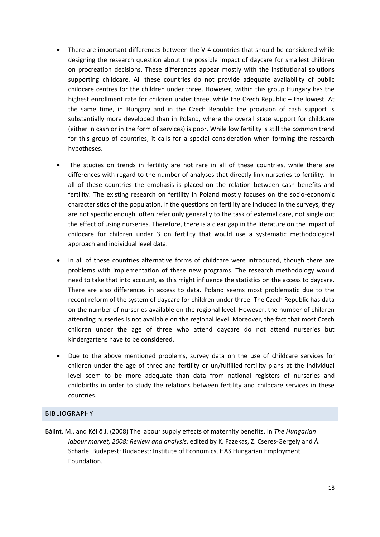- There are important differences between the V-4 countries that should be considered while designing the research question about the possible impact of daycare for smallest children on procreation decisions. These differences appear mostly with the institutional solutions supporting childcare. All these countries do not provide adequate availability of public childcare centres for the children under three. However, within this group Hungary has the highest enrollment rate for children under three, while the Czech Republic – the lowest. At the same time, in Hungary and in the Czech Republic the provision of cash support is substantially more developed than in Poland, where the overall state support for childcare (either in cash or in the form of services) is poor. While low fertility is still the *common* trend for this group of countries, it calls for a special consideration when forming the research hypotheses.
- The studies on trends in fertility are not rare in all of these countries, while there are differences with regard to the number of analyses that directly link nurseries to fertility. In all of these countries the emphasis is placed on the relation between cash benefits and fertility. The existing research on fertility in Poland mostly focuses on the socio-economic characteristics of the population. If the questions on fertility are included in the surveys, they are not specific enough, often refer only generally to the task of external care, not single out the effect of using nurseries. Therefore, there is a clear gap in the literature on the impact of childcare for children under 3 on fertility that would use a systematic methodological approach and individual level data.
- In all of these countries alternative forms of childcare were introduced, though there are problems with implementation of these new programs. The research methodology would need to take that into account, as this might influence the statistics on the access to daycare. There are also differences in access to data. Poland seems most problematic due to the recent reform of the system of daycare for children under three. The Czech Republic has data on the number of nurseries available on the regional level. However, the number of children attending nurseries is not available on the regional level. Moreover, the fact that most Czech children under the age of three who attend daycare do not attend nurseries but kindergartens have to be considered.
- Due to the above mentioned problems, survey data on the use of childcare services for children under the age of three and fertility or un/fulfilled fertility plans at the individual level seem to be more adequate than data from national registers of nurseries and childbirths in order to study the relations between fertility and childcare services in these countries.

### <span id="page-17-0"></span>BIBLIOGRAPHY

Bálint, M., and Köllő J. (2008) The labour supply effects of maternity benefits. In *The Hungarian labour market, 2008: Review and analysis*, edited by K. Fazekas, Z. Cseres-Gergely and Á. Scharle. Budapest: Budapest: Institute of Economics, HAS Hungarian Employment Foundation.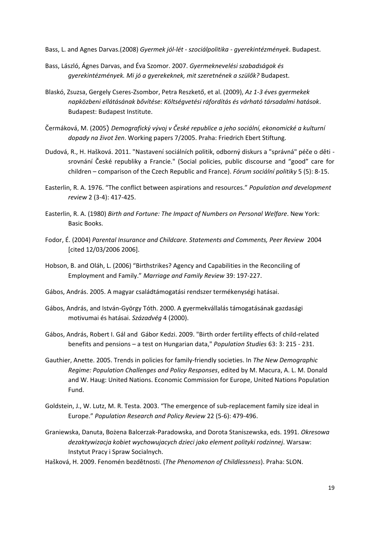Bass, L. and Agnes Darvas.(2008) *Gyermek jól-lét - szociálpolitika - gyerekintézmények*. Budapest.

- Bass, László, Ágnes Darvas, and Éva Szomor. 2007. *Gyermeknevelési szabadságok és gyerekintézmények. Mi jó a gyerekeknek, mit szeretnének a szülők?* Budapest.
- Blaskó, Zsuzsa, Gergely Cseres-Zsombor, Petra Reszkető, et al. (2009), *Az 1-3 éves gyermekek napközbeni ellátásának bővítése: Költségvetési ráfordítás és várható társadalmi hatások*. Budapest: Budapest Institute.
- Čermáková, M. (2005) *Demografický vývoj v České republice a jeho sociální, ekonomické a kulturní dopady na život žen*. Working papers 7/2005. Praha: Friedrich Ebert Stiftung.
- Dudová, R., H. Hašková. 2011. "Nastavení sociálních politik, odborný diskurs a "správná" péče o děti srovnání České republiky a Francie." (Social policies, public discourse and "good" care for children – comparison of the Czech Republic and France). *Fórum sociální politiky* 5 (5): 8-15.
- Easterlin, R. A. 1976. "The conflict between aspirations and resources." *Population and development review* 2 (3-4): 417-425.
- Easterlin, R. A. (1980) *Birth and Fortune: The Impact of Numbers on Personal Welfare*. New York: Basic Books.
- Fodor, É. (2004) *Parental Insurance and Childcare. Statements and Comments, Peer Review* 2004 [cited 12/03/2006 2006].
- Hobson, B. and Oláh, L. (2006) "Birthstrikes? Agency and Capabilities in the Reconciling of Employment and Family." *Marriage and Family Review* 39: 197-227.
- Gábos, András. 2005. A magyar családtámogatási rendszer termékenységi hatásai.
- Gábos, András, and István-György Tóth. 2000. A gyermekvállalás támogatásának gazdasági motivumai és hatásai. *Századvég* 4 (2000).
- Gábos, András, Robert I. Gál and Gábor Kedzi. 2009. "Birth order fertility effects of child-related benefits and pensions – a test on Hungarian data," *Population Studies* 63: 3: 215 - 231.
- Gauthier, Anette. 2005. Trends in policies for family-friendly societies. In *The New Demographic Regime: Population Challenges and Policy Responses*, edited by M. Macura, A. L. M. Donald and W. Haug: United Nations. Economic Commission for Europe, United Nations Population Fund.
- Goldstein, J., W. Lutz, M. R. Testa. 2003. "The emergence of sub-replacement family size ideal in Europe." *Population Research and Policy Review* 22 (5-6): 479-496.
- Graniewska, Danuta, Bożena Balcerzak-Paradowska, and Dorota Staniszewska, eds. 1991. *Okresowa dezaktywizacja kobiet wychowujacych dzieci jako element polityki rodzinnej*. Warsaw: Instytut Pracy i Spraw Socialnych.
- Hašková, H. 2009. Fenomén bezdětnosti. (*The Phenomenon of Childlessness*). Praha: SLON.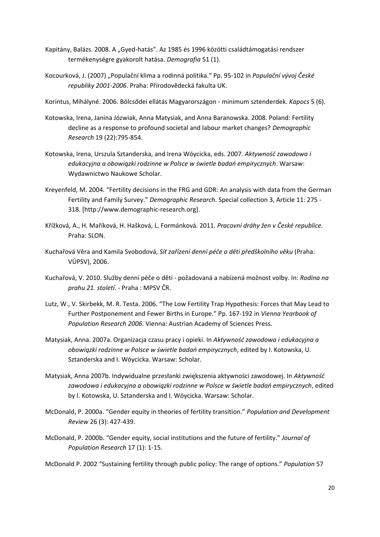- Kapitány, Balázs. 2008. A "Gyed-hatás". Az 1985 és 1996 közötti családtámogatási rendszer termékenységre gyakorolt hatása. *Demografia* 51 (1).
- Kocourková, J. (2007) "Populační klima a rodinná politika." Pp. 95-102 in *Populační vývoj České republiky 2001-2006*. Praha: Přírodovědecká fakulta UK.
- Korintus, Mihályné. 2006. Bölcsődei ellátás Magyarországon minimum sztenderdek. *Kapocs* 5 (6).
- Kotowska, Irena, Janina Józwiak, Anna Matysiak, and Anna Baranowska. 2008. Poland: Fertility decline as a response to profound societal and labour market changes? *Demographic Research* 19 (22):795-854.
- Kotowska, Irena, Urszula Sztanderska, and Irena Wóycicka, eds. 2007. *Aktywność zawodowa i edukacyjna a obowiązki rodzinne w Polsce w świetle badań empirycznych*. Warsaw: Wydawnictwo Naukowe Scholar.
- Kreyenfeld, M. 2004. "Fertility decisions in the FRG and GDR: An analysis with data from the German Fertility and Family Survey." *Demographic Research*. Special collection 3, Article 11: 275 - 318. [http://www.demographic-research.org].
- Křížková, A., H. Maříková, H. Hašková, L. Formánková. 2011. *Pracovní dráhy žen v České republice.* Praha: SLON.
- Kuchařová Věra and Kamila Svobodová, *Síť zařízení denní péče o děti předškolního věku* (Praha: VÚPSV), 2006.
- Kuchařová, V. 2010. Služby denní péče o děti požadovaná a nabízená možnost volby. In: *Rodina na prahu 21. století*. - Praha : MPSV ČR.
- Lutz, W., V. Skirbekk, M. R. Testa. 2006. "The Low Fertility Trap Hypothesis: Forces that May Lead to Further Postponement and Fewer Births in Europe." Pp. 167-192 in *Vienna Yearbook of Population Research 2006*. Vienna: Austrian Academy of Sciences Press.
- Matysiak, Anna. 2007a. Organizacja czasu pracy i opieki. In *Aktywność zawodowa i edukacyjna a obowiązki rodzinne w Polsce w świetle badań empirycznych*, edited by I. Kotowska, U. Sztanderska and I. Wóycicka. Warsaw: Scholar.
- Matysiak, Anna 2007b. Indywidualne przesłanki zwiększenia aktywności zawodowej. In *Aktywność zawodowa i edukacyjna a obowiązki rodzinne w Polsce w świetle badań empirycznych*, edited by I. Kotowska, U. Sztanderska and I. Wóycicka. Warsaw: Scholar.
- McDonald, P. 2000a. "Gender equity in theories of fertility transition." *Population and Development Review* 26 (3): 427-439.
- McDonald, P. 2000b. "Gender equity, social institutions and the future of fertility." *Journal of Population Research* 17 (1): 1-15.

McDonald P. 2002 "Sustaining fertility through public policy: The range of options." *Population* 57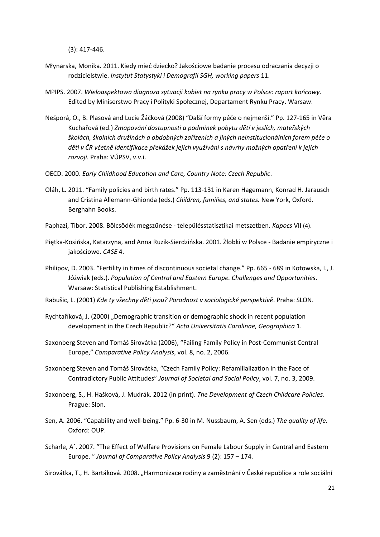(3): 417-446.

- Młynarska, Monika. 2011. Kiedy mieć dziecko? Jakościowe badanie procesu odraczania decyzji o rodzicielstwie. *Instytut Statystyki i Demografii SGH, working papers* 11.
- MPIPS. 2007. *Wieloaspektowa diagnoza sytuacji kobiet na rynku pracy w Polsce: raport końcowy*. Edited by Miniserstwo Pracy i Polityki Społecznej, Departament Rynku Pracy. Warsaw.
- Nešporá, O., B. Plasová and Lucie Žáčková (2008) "Další formy péče o nejmenší." Pp. 127-165 in Věra Kuchařová (ed.) *Zmapování dostupnosti a podmínek pobytu dětí v jeslích, mateřských školách, školních družinách a obdobných zařízeních a jiných neinstitucionálních forem péče o děti v ČR včetně identifikace překážek jejich využívání s návrhy možných opatření k jejich rozvoji.* Praha: VÚPSV, v.v.i.
- OECD. 2000. *Early Childhood Education and Care, Country Note: Czech Republic*.
- Oláh, L. 2011. "Family policies and birth rates." Pp. 113-131 in Karen Hagemann, Konrad H. Jarausch and Cristina Allemann-Ghionda (eds.) *Children, families, and states.* New York, Oxford. Berghahn Books.
- Paphazi, Tibor. 2008. Bölcsödék megszűnése településstatisztikai metszetben. *Kapocs* VII (4).
- Piętka-Kosińska, Katarzyna, and Anna Ruzik-Sierdzińska. 2001. Żłobki w Polsce Badanie empiryczne i jakościowe. *CASE* 4.
- Philipov, D. 2003. "Fertility in times of discontinuous societal change." Pp. 665 689 in Kotowska, I., J. Jóźwiak (eds.). *Population of Central and Eastern Europe. Challenges and Opportunities*. Warsaw: Statistical Publishing Establishment.
- Rabušic, L. (2001) *Kde ty všechny děti jsou? Porodnost v sociologické perspektivě*. Praha: SLON.
- Rychtaříková, J. (2000) "Demographic transition or demographic shock in recent population development in the Czech Republic?" *Acta Universitatis Carolinae, Geographica* 1.
- Saxonberg Steven and Tomáš Sirovátka (2006), "Failing Family Policy in Post-Communist Central Europe," *Comparative Policy Analysis*, vol. 8, no. 2, 2006.
- Saxonberg Steven and Tomáš Sirovátka, "Czech Family Policy: Refamilialization in the Face of Contradictory Public Attitudes" *Journal of Societal and Social Policy*, vol. 7, no. 3, 2009.
- Saxonberg, S., H. Hašková, J. Mudrák. 2012 (in print). *The Development of Czech Childcare Policies*. Prague: Slon.
- Sen, A. 2006. "Capability and well-being." Pp. 6-30 in M. Nussbaum, A. Sen (eds.) *The quality of life*. Oxford: OUP.
- Scharle, A´. 2007. "The Effect of Welfare Provisions on Female Labour Supply in Central and Eastern Europe. " *Journal of Comparative Policy Analysis* 9 (2): 157 – 174.
- Sirovátka, T., H. Bartáková. 2008. "Harmonizace rodiny a zaměstnání v České republice a role sociální